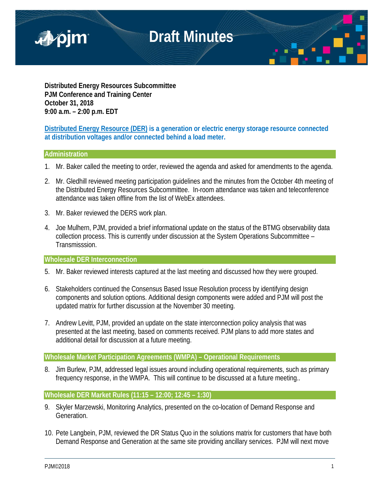

**Distributed Energy Resources Subcommittee PJM Conference and Training Center October 31, 2018 9:00 a.m. – 2:00 p.m. EDT**

**Distributed Energy Resource (DER) is a generation or electric energy storage resource connected at distribution voltages and/or connected behind a load meter.**

## **Administration**

- 1. Mr. Baker called the meeting to order, reviewed the agenda and asked for amendments to the agenda.
- 2. Mr. Gledhill reviewed meeting participation guidelines and the minutes from the October 4th meeting of the Distributed Energy Resources Subcommittee. In-room attendance was taken and teleconference attendance was taken offline from the list of WebEx attendees.
- 3. Mr. Baker reviewed the DERS work plan.
- 4. Joe Mulhern, PJM, provided a brief informational update on the status of the BTMG observability data collection process. This is currently under discussion at the System Operations Subcommittee – Transmisssion.

### **Wholesale DER Interconnection**

- 5. Mr. Baker reviewed interests captured at the last meeting and discussed how they were grouped.
- 6. Stakeholders continued the Consensus Based Issue Resolution process by identifying design components and solution options. Additional design components were added and PJM will post the updated matrix for further discussion at the November 30 meeting.
- 7. Andrew Levitt, PJM, provided an update on the state interconnection policy analysis that was presented at the last meeting, based on comments received. PJM plans to add more states and additional detail for discussion at a future meeting.

**Wholesale Market Participation Agreements (WMPA) – Operational Requirements**

8. Jim Burlew, PJM, addressed legal issues around including operational requirements, such as primary frequency response, in the WMPA. This will continue to be discussed at a future meeting..

### **Wholesale DER Market Rules (11:15 – 12:00; 12:45 – 1:30)**

- 9. Skyler Marzewski, Monitoring Analytics, presented on the co-location of Demand Response and Generation.
- 10. Pete Langbein, PJM, reviewed the DR Status Quo in the solutions matrix for customers that have both Demand Response and Generation at the same site providing ancillary services. PJM will next move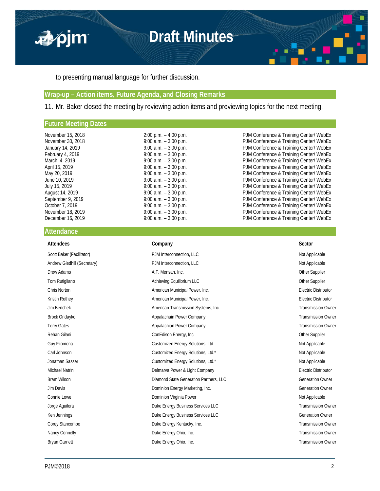

to presenting manual language for further discussion.

### **Wrap-up – Action items, Future Agenda, and Closing Remarks**

11. Mr. Baker closed the meeting by reviewing action items and previewing topics for the next meeting.

### **Future Meeting Dates**

| November 15, 2018 |
|-------------------|
| November 30, 2018 |
| January 14, 2019  |
| February 4, 2019  |
| March 4, 2019     |
| April 15, 2019    |
| May 20, 2019      |
| June 10, 2019     |
| July 15, 2019     |
| August 14, 2019   |
| September 9, 2019 |
| October 7, 2019   |
| November 18, 2019 |
| December 16, 2019 |

2:00 p.m. – 4:00 p.m.<br>
9:00 a.m. – 3:00 p.m. PJM Conference & Training Center/ WebEx 9:00 a.m. – 3:00 p.m.<br>
9:00 a.m. – 3:00 p.m. PJM Conference & Training Center/ WebEx 9:00 a.m. – 3:00 p.m.<br>
9:00 a.m. – 3:00 p.m.<br>
PJM Conference & Training Center/ WebEx<br>
PJM Conference & Training Center/ WebEx P.00 a.m. – 3:00 p.m.<br>
PJM Conference & Training Center/ WebEx<br>
9:00 a.m. – 3:00 p.m.<br>
PJM Conference & Training Center/ WebEx<br>
PJM Conference & Training Center/ WebEx<br>
PJM Conference & Training Center/ WebEx PJM Conference & Training Center/ WebEx 9:00 a.m. – 3:00 p.m.<br>
9:00 a.m. – 3:00 p.m.<br>
PJM Conference & Training Center/ WebEx<br>
PJM Conference & Training Center/ WebEx 9:00 a.m. – 3:00 p.m.<br>
9:00 a.m. – 3:00 p.m.<br>
9:00 a.m. – 3:00 p.m.<br>
9:00 a.m. – 3:00 p.m.<br>
PJM Conference & Training Center/ WebEx<br>
9:00 a.m. – 3:00 p.m.<br>
PJM Conference & Training Center/ WebEx<br>
9:00 a.m. – 3:00 p.m.<br>
PJ PJM Conference & Training Center/ WebEx PJM Conference & Training Center/ WebEx PJM Conference & Training Center/ WebEx 9:00 a.m. – 3:00 p.m.<br>
9:00 a.m. – 3:00 p.m. PJM Conference & Training Center/ WebEx Poo a.m. – 3:00 p.m.<br>
PJM Conference & Training Center/ WebEx<br>
PJM Conference & Training Center/ WebEx 9:00 a.m. – 3:00 p.m.<br>
9:00 a.m. – 3:00 p.m. PJM Conference & Training Center/ WebEx PJM Conference & Training Center/ WebEx

### **Attendance**

| Company                                | Sector                      |
|----------------------------------------|-----------------------------|
| PJM Interconnection, LLC               | Not Applicable              |
| PJM Interconnection, LLC               | Not Applicable              |
| A.F. Mensah, Inc.                      | Other Supplier              |
| Achieving Equilibrium LLC              | <b>Other Supplier</b>       |
| American Municipal Power, Inc.         | <b>Electric Distributor</b> |
| American Municipal Power, Inc.         | <b>Electric Distributor</b> |
| American Transmission Systems, Inc.    | <b>Transmission Owner</b>   |
| Appalachain Power Company              | <b>Transmission Owner</b>   |
| Appalachian Power Company              | <b>Transmission Owner</b>   |
| ConEdison Energy, Inc.                 | Other Supplier              |
| Customized Energy Solutions, Ltd.      | Not Applicable              |
| Customized Energy Solutions, Ltd.*     | Not Applicable              |
| Customized Energy Solutions, Ltd.*     | Not Applicable              |
| Delmarva Power & Light Company         | <b>Electric Distributor</b> |
| Diamond State Generation Partners, LLC | <b>Generation Owner</b>     |
| Dominion Energy Marketing, Inc.        | <b>Generation Owner</b>     |
| Dominion Virginia Power                | Not Applicable              |
| Duke Energy Business Services LLC      | <b>Transmission Owner</b>   |
| Duke Energy Business Services LLC      | <b>Generation Owner</b>     |
| Duke Energy Kentucky, Inc.             | <b>Transmission Owner</b>   |
| Duke Energy Ohio, Inc.                 | <b>Transmission Owner</b>   |
| Duke Energy Ohio, Inc.                 | <b>Transmission Owner</b>   |
|                                        |                             |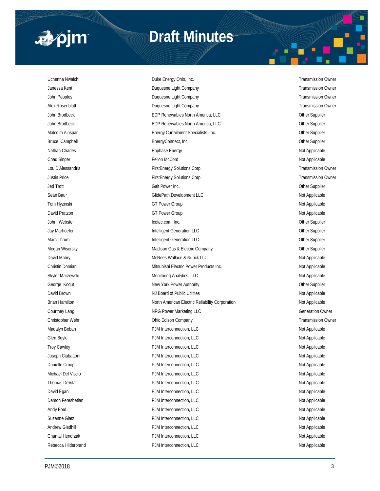

## **Draft Minutes**

Uchenna Nwaichi **Duke Energy Ohio, Inc.** Transmission Owner Janessa Kent **Schwarzer Schwarzer Company Company** Charles and Transmission Owner John Peoples **School Company Company Company Company** Transmission Owner Alex Rosenblatt **Alex Rosenblatt** Company Duquesne Light Company **Transmission Owner** Transmission Owner John Brodbeck **EDP Renewables North America, LLC** Other Supplier John Brodbeck **EDP Renewables North America, LLC EDP Renewables North America, LLC** Malcolm Ainspan **Energy Curtailment Specialists, Inc.** Charges Communication Cher Supplier Bruce Campbell **EnergyConnect, Inc.** Compared Compared Compared Cher Supplier Nathan Charles **Ending English Englisher Energy Not Applicable** Not Applicable Chad Singer Fellon McCord (Fellon McCord Text of Applicable Not Applicable Not Applicable Not Applicable Not Applicable Lou D'Alessandris FirstEnergy Solutions Corp. Transmission Owner Justin Price FirstEnergy Solutions Corp. Transmission Owner Jed Trott Galt Power Inc. Other Supplier Sean Baur **Sean Baur** GlidePath Development LLC **Not Applicable** Not Applicable Tom Hyzinski **Markov Community Community Community Community** GT Power Group Not Applicable Not Applicable David Pratzon Not Applicable Communication Communication Communication Communication Communication Communication Communication Communication Communication Communication Communication Communication Communication Communicati John Webster **Icetec.com, Inc.** Change Icetec.com, Inc. Change Icetec.com, Inc. Other Supplier Jay Marhoefer **Supplier Contained Accord Contained Accord Contained Accord Contained Accord Contained Accord Contained Accord Contained Accord Contained Accord Contained Accord Contained Accord Contained Accord Contained A** Marc Thrum **Intelligent Generation LLC** and the United Supplier Supplier Supplier Megan Wisersky **Madison Gas & Electric Company** Madison Gas & Electric Company **CHI** COMPANY Other Supplier David Mabry **McNees Wallace & Nurick LLC** Not Applicable 2014 Not Applicable Christin Domian **Mitsubishi Electric Power Products Inc.** Not Applicable Not Applicable Skyler Marzewski **Monitoring Analytics, LLC** Not Applicable and Applicable Monitoring Analytics, LLC George Kogut **New York Power Authority** Character Communication of the Supplier Supplier David Brown NJ Board of Public Utilities Number 2012 1999 Not Applicable Brian Hamilton Not Applicable North American Electric Reliability Corporation Not Applicable Courtney Lang Courtney Lang NRG Power Marketing LLC Courtney Lang Generation Owner Christopher Wehr Ohio Edison Company Transmission Owner Madalyn Beban **Natural PJM Interconnection, LLC** Not Applicable Not Applicable Glen Boyle **Calculation** Boyle **PJM Interconnection, LLC** Calculation **Calculation Calculation Not Applicable** Troy Cawley **Not Applicable** PJM Interconnection, LLC **Not Applicable** Not Applicable Joseph Ciabattoni **Material PDM Interconnection, LLC** Not Applicable Not Applicable Danielle Croop **PJM Interconnection, LLC** Not Applicable Not Applicable Michael Del Viscio **Nichael Del Viscio** PJM Interconnection, LLC Not Applicable Thomas DeVita **Construction** PDM Interconnection, LLC **Construction** Applicable Not Applicable David Egan **Not Applicable** PJM Interconnection, LLC **CONSIDENT Accommendance Applicable** Not Applicable Damon Fereshetian **Damon Fereshetian** PJM Interconnection, LLC Not Applicable Andy Ford **Andy Ford PJM Interconnection, LLC** Applicable **PJM Interconnection**, LLC Suzanne Glatz **All and Suzanne Clatz** PJM Interconnection, LLC Not Applicable Not Applicable Andrew Gledhill **Andrew Gledhill** PJM Interconnection, LLC **Applicable** Not Applicable Chantal Hendrzak **Not Applicable** PJM Interconnection, LLC Not Applicable Not Applicable Rebecca Hilderbrand **PJM Interconnection, LLC** Not Applicable Not Applicable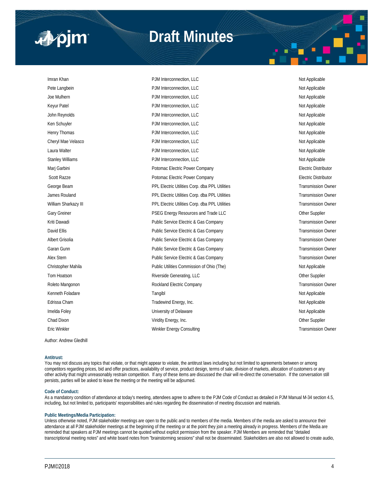

# **Draft Minutes**

| Imran Khan              | PJM Interconnection, LLC                       | Not Applicable              |
|-------------------------|------------------------------------------------|-----------------------------|
| Pete Langbein           | PJM Interconnection, LLC                       | Not Applicable              |
| Joe Mulhern             | PJM Interconnection, LLC                       | Not Applicable              |
| Keyur Patel             | PJM Interconnection, LLC                       | Not Applicable              |
| John Reynolds           | PJM Interconnection, LLC                       | Not Applicable              |
| Ken Schuyler            | PJM Interconnection, LLC                       | Not Applicable              |
| Henry Thomas            | PJM Interconnection, LLC                       | Not Applicable              |
| Cheryl Mae Velasco      | PJM Interconnection, LLC                       | Not Applicable              |
| Laura Walter            | PJM Interconnection, LLC                       | Not Applicable              |
| <b>Stanley Williams</b> | PJM Interconnection, LLC                       | Not Applicable              |
| Marj Garbini            | Potomac Electric Power Company                 | <b>Electric Distributor</b> |
| <b>Scott Razze</b>      | Potomac Electric Power Company                 | Electric Distributor        |
| George Beam             | PPL Electric Utilities Corp. dba PPL Utilities | <b>Transmission Owner</b>   |
| James Rouland           | PPL Electric Utilities Corp. dba PPL Utilities | <b>Transmission Owner</b>   |
| William Sharkazy III    | PPL Electric Utilities Corp. dba PPL Utilities | <b>Transmission Owner</b>   |
| Gary Greiner            | PSEG Energy Resources and Trade LLC            | Other Supplier              |
| Kriti Dawadi            | Public Service Electric & Gas Company          | <b>Transmission Owner</b>   |
| David Ellis             | Public Service Electric & Gas Company          | <b>Transmission Owner</b>   |
| Albert Grisolia         | Public Service Electric & Gas Company          | <b>Transmission Owner</b>   |
| Garan Gunn              | Public Service Electric & Gas Company          | <b>Transmission Owner</b>   |
| Alex Stern              | Public Service Electric & Gas Company          | <b>Transmission Owner</b>   |
| Christopher Mahila      | Public Utilities Commission of Ohio (The)      | Not Applicable              |
| Tom Hoatson             | Riverside Generating, LLC                      | Other Supplier              |
| Roleto Mangonon         | Rockland Electric Company                      | <b>Transmission Owner</b>   |
| Kenneth Foladare        | Tangibl                                        | Not Applicable              |
| Edrissa Cham            | Tradewind Energy, Inc.                         | Not Applicable              |
| Imelda Foley            | University of Delaware                         | Not Applicable              |
| Chad Dixon              | Viridity Energy, Inc.                          | Other Supplier              |
| Eric Winkler            | Winkler Energy Consulting                      | <b>Transmission Owner</b>   |
|                         |                                                |                             |

Author: Andrew Gledhill

#### **Antitrust:**

You may not discuss any topics that violate, or that might appear to violate, the antitrust laws including but not limited to agreements between or among competitors regarding prices, bid and offer practices, availability of service, product design, terms of sale, division of markets, allocation of customers or any other activity that might unreasonably restrain competition. If any of these items are discussed the chair will re-direct the conversation. If the conversation still persists, parties will be asked to leave the meeting or the meeting will be adjourned.

#### **Code of Conduct:**

As a mandatory condition of attendance at today's meeting, attendees agree to adhere to the PJM Code of Conduct as detailed in PJM Manual M-34 section 4.5, including, but not limited to, participants' responsibilities and rules regarding the dissemination of meeting discussion and materials.

### **Public Meetings/Media Participation:**

Unless otherwise noted, PJM stakeholder meetings are open to the public and to members of the media. Members of the media are asked to announce their attendance at all PJM stakeholder meetings at the beginning of the meeting or at the point they join a meeting already in progress. Members of the Media are reminded that speakers at PJM meetings cannot be quoted without explicit permission from the speaker. PJM Members are reminded that "detailed transcriptional meeting notes" and white board notes from "brainstorming sessions" shall not be disseminated. Stakeholders are also not allowed to create audio,